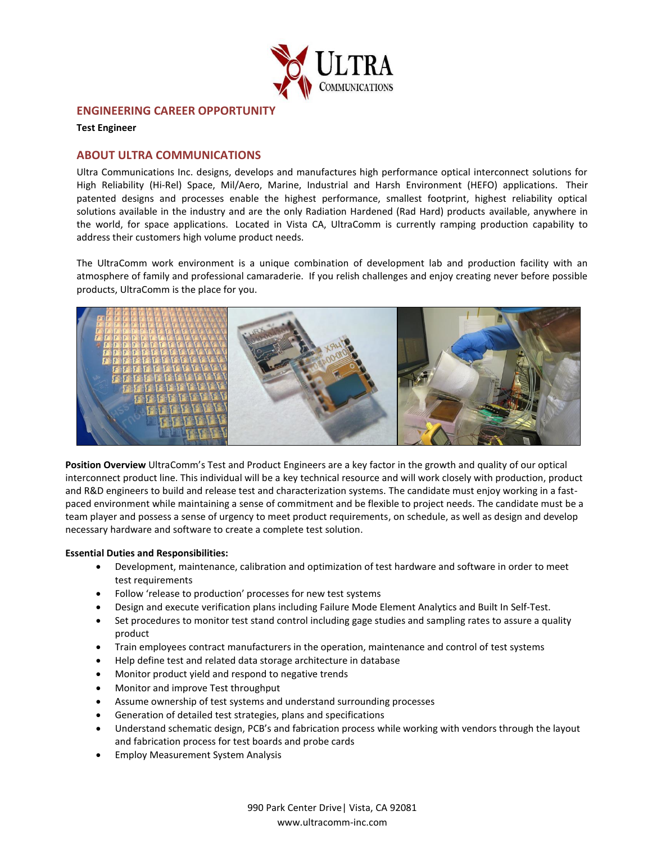

## **ENGINEERING CAREER OPPORTUNITY**

**Test Engineer**

# **ABOUT ULTRA COMMUNICATIONS**

Ultra Communications Inc. designs, develops and manufactures high performance optical interconnect solutions for High Reliability (Hi-Rel) Space, Mil/Aero, Marine, Industrial and Harsh Environment (HEFO) applications. Their patented designs and processes enable the highest performance, smallest footprint, highest reliability optical solutions available in the industry and are the only Radiation Hardened (Rad Hard) products available, anywhere in the world, for space applications. Located in Vista CA, UltraComm is currently ramping production capability to address their customers high volume product needs.

The UltraComm work environment is a unique combination of development lab and production facility with an atmosphere of family and professional camaraderie. If you relish challenges and enjoy creating never before possible products, UltraComm is the place for you.



**Position Overview** UltraComm's Test and Product Engineers are a key factor in the growth and quality of our optical interconnect product line. This individual will be a key technical resource and will work closely with production, product and R&D engineers to build and release test and characterization systems. The candidate must enjoy working in a fastpaced environment while maintaining a sense of commitment and be flexible to project needs. The candidate must be a team player and possess a sense of urgency to meet product requirements, on schedule, as well as design and develop necessary hardware and software to create a complete test solution.

#### **Essential Duties and Responsibilities:**

- Development, maintenance, calibration and optimization of test hardware and software in order to meet test requirements
- Follow 'release to production' processes for new test systems
- Design and execute verification plans including Failure Mode Element Analytics and Built In Self-Test.
- Set procedures to monitor test stand control including gage studies and sampling rates to assure a quality product
- Train employees contract manufacturers in the operation, maintenance and control of test systems
- Help define test and related data storage architecture in database
- Monitor product yield and respond to negative trends
- Monitor and improve Test throughput
- Assume ownership of test systems and understand surrounding processes
- Generation of detailed test strategies, plans and specifications
- Understand schematic design, PCB's and fabrication process while working with vendors through the layout and fabrication process for test boards and probe cards
- Employ Measurement System Analysis

990 Park Center Drive| Vista, CA 92081 www.ultracomm-inc.com